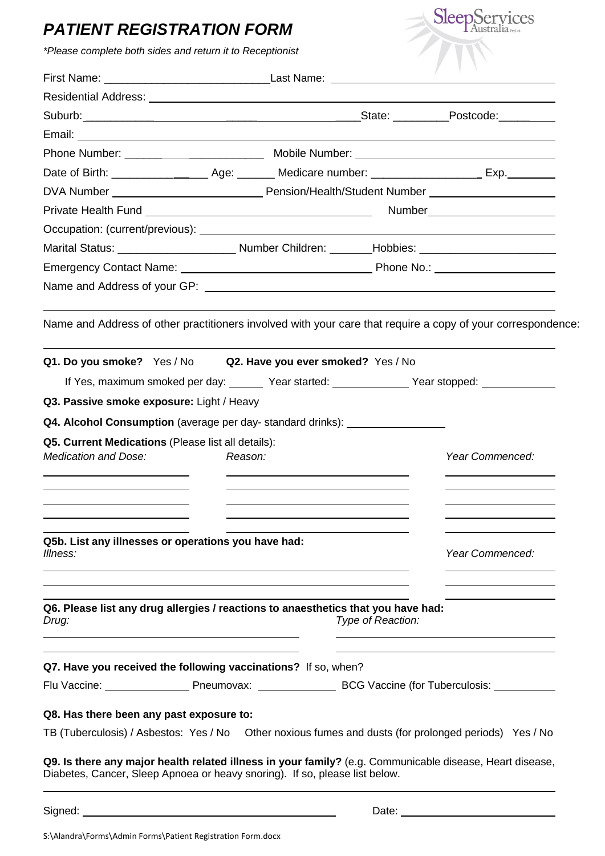## *PATIENT REGISTRATION FORM*

| <b>PATIENT REGISTRATION FORM</b>                                                                                                                                                                                               |                                                                                                                  |                   | SleepServices                                                             |  |
|--------------------------------------------------------------------------------------------------------------------------------------------------------------------------------------------------------------------------------|------------------------------------------------------------------------------------------------------------------|-------------------|---------------------------------------------------------------------------|--|
| *Please complete both sides and return it to Receptionist                                                                                                                                                                      |                                                                                                                  |                   |                                                                           |  |
|                                                                                                                                                                                                                                |                                                                                                                  |                   |                                                                           |  |
| Residential Address: No. 1996. The Contract of the Contract of the Contract of the Contract of the Contract of                                                                                                                 |                                                                                                                  |                   |                                                                           |  |
| Suburb: Contract Contract Contract Contract Contract Contract Contract Contract Contract Contract Contract Contract Contract Contract Contract Contract Contract Contract Contract Contract Contract Contract Contract Contrac |                                                                                                                  |                   |                                                                           |  |
|                                                                                                                                                                                                                                |                                                                                                                  |                   |                                                                           |  |
|                                                                                                                                                                                                                                |                                                                                                                  |                   |                                                                           |  |
| Date of Birth: _______________________Age: ________ Medicare number: _________________________Exp. __________                                                                                                                  |                                                                                                                  |                   |                                                                           |  |
|                                                                                                                                                                                                                                |                                                                                                                  |                   |                                                                           |  |
|                                                                                                                                                                                                                                |                                                                                                                  |                   |                                                                           |  |
|                                                                                                                                                                                                                                |                                                                                                                  |                   |                                                                           |  |
|                                                                                                                                                                                                                                |                                                                                                                  |                   |                                                                           |  |
|                                                                                                                                                                                                                                |                                                                                                                  |                   |                                                                           |  |
|                                                                                                                                                                                                                                |                                                                                                                  |                   |                                                                           |  |
|                                                                                                                                                                                                                                |                                                                                                                  |                   |                                                                           |  |
| Q1. Do you smoke? Yes / No Q2. Have you ever smoked? Yes / No                                                                                                                                                                  |                                                                                                                  |                   | If Yes, maximum smoked per day: Vear started: Vear started: Year stopped: |  |
| Q3. Passive smoke exposure: Light / Heavy                                                                                                                                                                                      |                                                                                                                  |                   |                                                                           |  |
| Q4. Alcohol Consumption (average per day- standard drinks): ____________________                                                                                                                                               |                                                                                                                  |                   |                                                                           |  |
| Q5. Current Medications (Please list all details):                                                                                                                                                                             |                                                                                                                  |                   |                                                                           |  |
|                                                                                                                                                                                                                                |                                                                                                                  |                   | Year Commenced:                                                           |  |
|                                                                                                                                                                                                                                |                                                                                                                  |                   |                                                                           |  |
|                                                                                                                                                                                                                                |                                                                                                                  |                   |                                                                           |  |
|                                                                                                                                                                                                                                |                                                                                                                  |                   |                                                                           |  |
| Q5b. List any illnesses or operations you have had:                                                                                                                                                                            |                                                                                                                  |                   |                                                                           |  |
| Illness:                                                                                                                                                                                                                       |                                                                                                                  |                   | Year Commenced:                                                           |  |
|                                                                                                                                                                                                                                |                                                                                                                  |                   |                                                                           |  |
|                                                                                                                                                                                                                                | and the control of the control of the control of the control of the control of the control of the control of the |                   |                                                                           |  |
| Q6. Please list any drug allergies / reactions to anaesthetics that you have had:                                                                                                                                              |                                                                                                                  |                   |                                                                           |  |
| Drug:                                                                                                                                                                                                                          |                                                                                                                  | Type of Reaction: |                                                                           |  |
|                                                                                                                                                                                                                                |                                                                                                                  |                   |                                                                           |  |
| Q7. Have you received the following vaccinations? If so, when?                                                                                                                                                                 |                                                                                                                  |                   |                                                                           |  |
| Flu Vaccine: ________________________Pneumovax: ________________________________ BCG Vaccine (for Tuberculosis: _____________                                                                                                  |                                                                                                                  |                   |                                                                           |  |
| Q8. Has there been any past exposure to:                                                                                                                                                                                       |                                                                                                                  |                   |                                                                           |  |
| TB (Tuberculosis) / Asbestos: Yes / No  Other noxious fumes and dusts (for prolonged periods) Yes / No                                                                                                                         |                                                                                                                  |                   |                                                                           |  |
|                                                                                                                                                                                                                                |                                                                                                                  |                   |                                                                           |  |
| Q9. Is there any major health related illness in your family? (e.g. Communicable disease, Heart disease,<br>Diabetes, Cancer, Sleep Apnoea or heavy snoring). If so, please list below.                                        |                                                                                                                  |                   |                                                                           |  |
|                                                                                                                                                                                                                                |                                                                                                                  |                   |                                                                           |  |
|                                                                                                                                                                                                                                |                                                                                                                  |                   |                                                                           |  |

S:\Alandra\Forms\Admin Forms\Patient Registration Form.docx